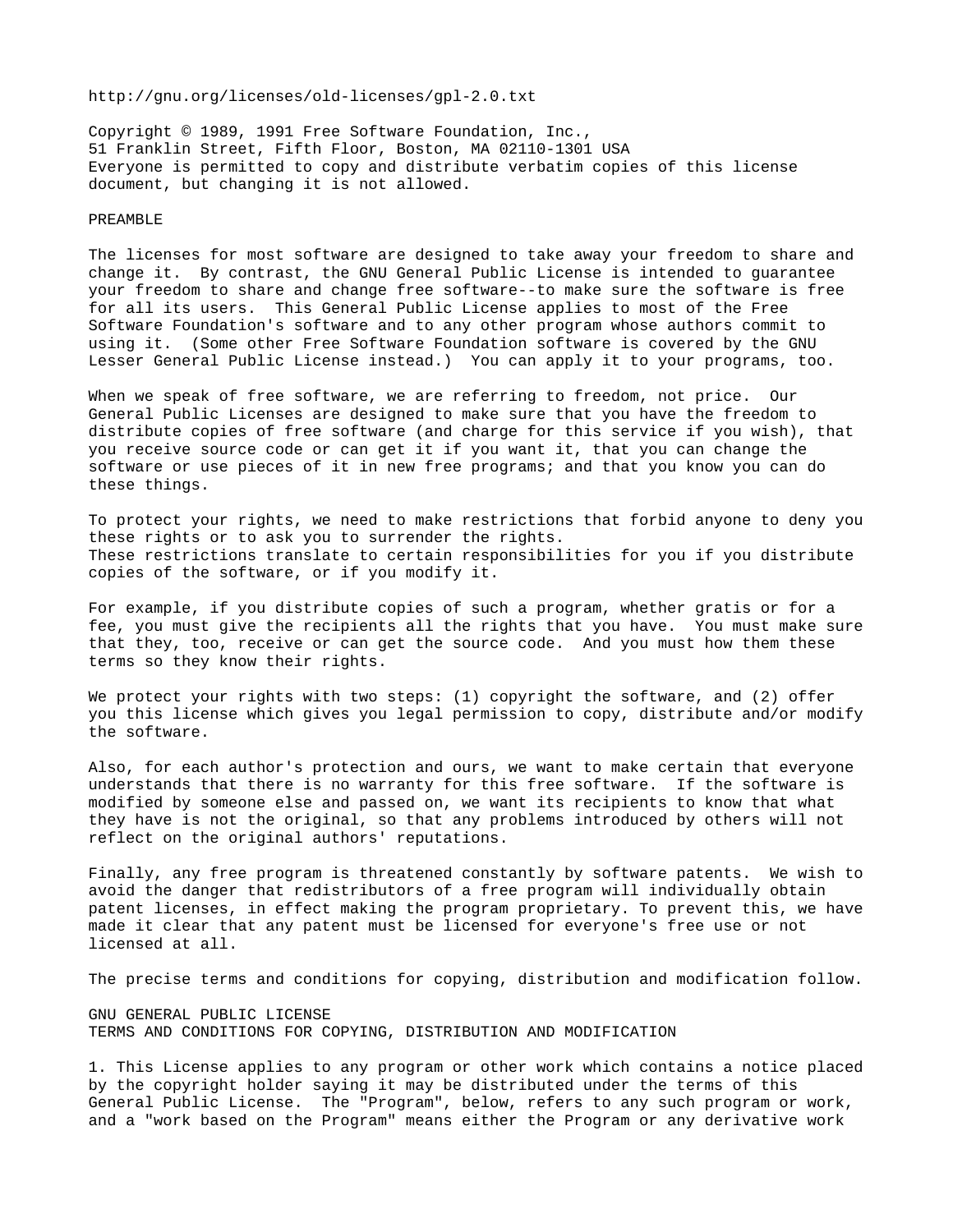## http://gnu.org/licenses/old-licenses/gpl-2.0.txt

Copyright © 1989, 1991 Free Software Foundation, Inc., 51 Franklin Street, Fifth Floor, Boston, MA 02110-1301 USA Everyone is permitted to copy and distribute verbatim copies of this license document, but changing it is not allowed.

## PREAMBLE

The licenses for most software are designed to take away your freedom to share and change it. By contrast, the GNU General Public License is intended to guarantee your freedom to share and change free software--to make sure the software is free for all its users. This General Public License applies to most of the Free Software Foundation's software and to any other program whose authors commit to using it. (Some other Free Software Foundation software is covered by the GNU Lesser General Public License instead.) You can apply it to your programs, too.

When we speak of free software, we are referring to freedom, not price. Our General Public Licenses are designed to make sure that you have the freedom to distribute copies of free software (and charge for this service if you wish), that you receive source code or can get it if you want it, that you can change the software or use pieces of it in new free programs; and that you know you can do these things.

To protect your rights, we need to make restrictions that forbid anyone to deny you these rights or to ask you to surrender the rights. These restrictions translate to certain responsibilities for you if you distribute copies of the software, or if you modify it.

For example, if you distribute copies of such a program, whether gratis or for a fee, you must give the recipients all the rights that you have. You must make sure that they, too, receive or can get the source code. And you must how them these terms so they know their rights.

We protect your rights with two steps: (1) copyright the software, and (2) offer you this license which gives you legal permission to copy, distribute and/or modify the software.

Also, for each author's protection and ours, we want to make certain that everyone understands that there is no warranty for this free software. If the software is modified by someone else and passed on, we want its recipients to know that what they have is not the original, so that any problems introduced by others will not reflect on the original authors' reputations.

Finally, any free program is threatened constantly by software patents. We wish to avoid the danger that redistributors of a free program will individually obtain patent licenses, in effect making the program proprietary. To prevent this, we have made it clear that any patent must be licensed for everyone's free use or not licensed at all.

The precise terms and conditions for copying, distribution and modification follow.

GNU GENERAL PUBLIC LICENSE TERMS AND CONDITIONS FOR COPYING, DISTRIBUTION AND MODIFICATION

1. This License applies to any program or other work which contains a notice placed by the copyright holder saying it may be distributed under the terms of this General Public License. The "Program", below, refers to any such program or work, and a "work based on the Program" means either the Program or any derivative work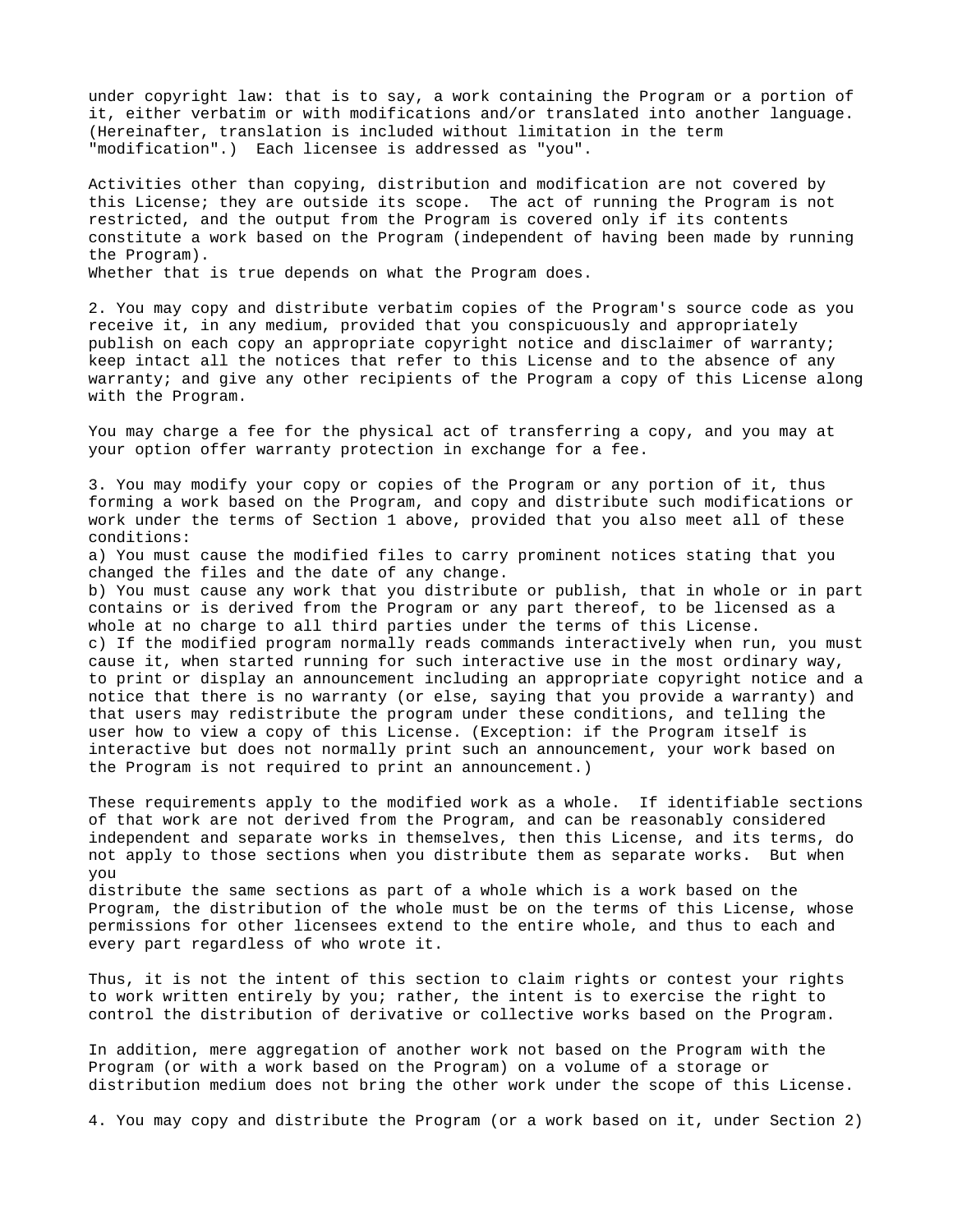under copyright law: that is to say, a work containing the Program or a portion of it, either verbatim or with modifications and/or translated into another language. (Hereinafter, translation is included without limitation in the term "modification".) Each licensee is addressed as "you".

Activities other than copying, distribution and modification are not covered by this License; they are outside its scope. The act of running the Program is not restricted, and the output from the Program is covered only if its contents constitute a work based on the Program (independent of having been made by running the Program).

Whether that is true depends on what the Program does.

2. You may copy and distribute verbatim copies of the Program's source code as you receive it, in any medium, provided that you conspicuously and appropriately publish on each copy an appropriate copyright notice and disclaimer of warranty; keep intact all the notices that refer to this License and to the absence of any warranty; and give any other recipients of the Program a copy of this License along with the Program.

You may charge a fee for the physical act of transferring a copy, and you may at your option offer warranty protection in exchange for a fee.

3. You may modify your copy or copies of the Program or any portion of it, thus forming a work based on the Program, and copy and distribute such modifications or work under the terms of Section 1 above, provided that you also meet all of these conditions:

a) You must cause the modified files to carry prominent notices stating that you changed the files and the date of any change.

b) You must cause any work that you distribute or publish, that in whole or in part contains or is derived from the Program or any part thereof, to be licensed as a whole at no charge to all third parties under the terms of this License. c) If the modified program normally reads commands interactively when run, you must cause it, when started running for such interactive use in the most ordinary way, to print or display an announcement including an appropriate copyright notice and a notice that there is no warranty (or else, saying that you provide a warranty) and that users may redistribute the program under these conditions, and telling the user how to view a copy of this License. (Exception: if the Program itself is interactive but does not normally print such an announcement, your work based on the Program is not required to print an announcement.)

These requirements apply to the modified work as a whole. If identifiable sections of that work are not derived from the Program, and can be reasonably considered independent and separate works in themselves, then this License, and its terms, do not apply to those sections when you distribute them as separate works. But when you

distribute the same sections as part of a whole which is a work based on the Program, the distribution of the whole must be on the terms of this License, whose permissions for other licensees extend to the entire whole, and thus to each and every part regardless of who wrote it.

Thus, it is not the intent of this section to claim rights or contest your rights to work written entirely by you; rather, the intent is to exercise the right to control the distribution of derivative or collective works based on the Program.

In addition, mere aggregation of another work not based on the Program with the Program (or with a work based on the Program) on a volume of a storage or distribution medium does not bring the other work under the scope of this License.

4. You may copy and distribute the Program (or a work based on it, under Section 2)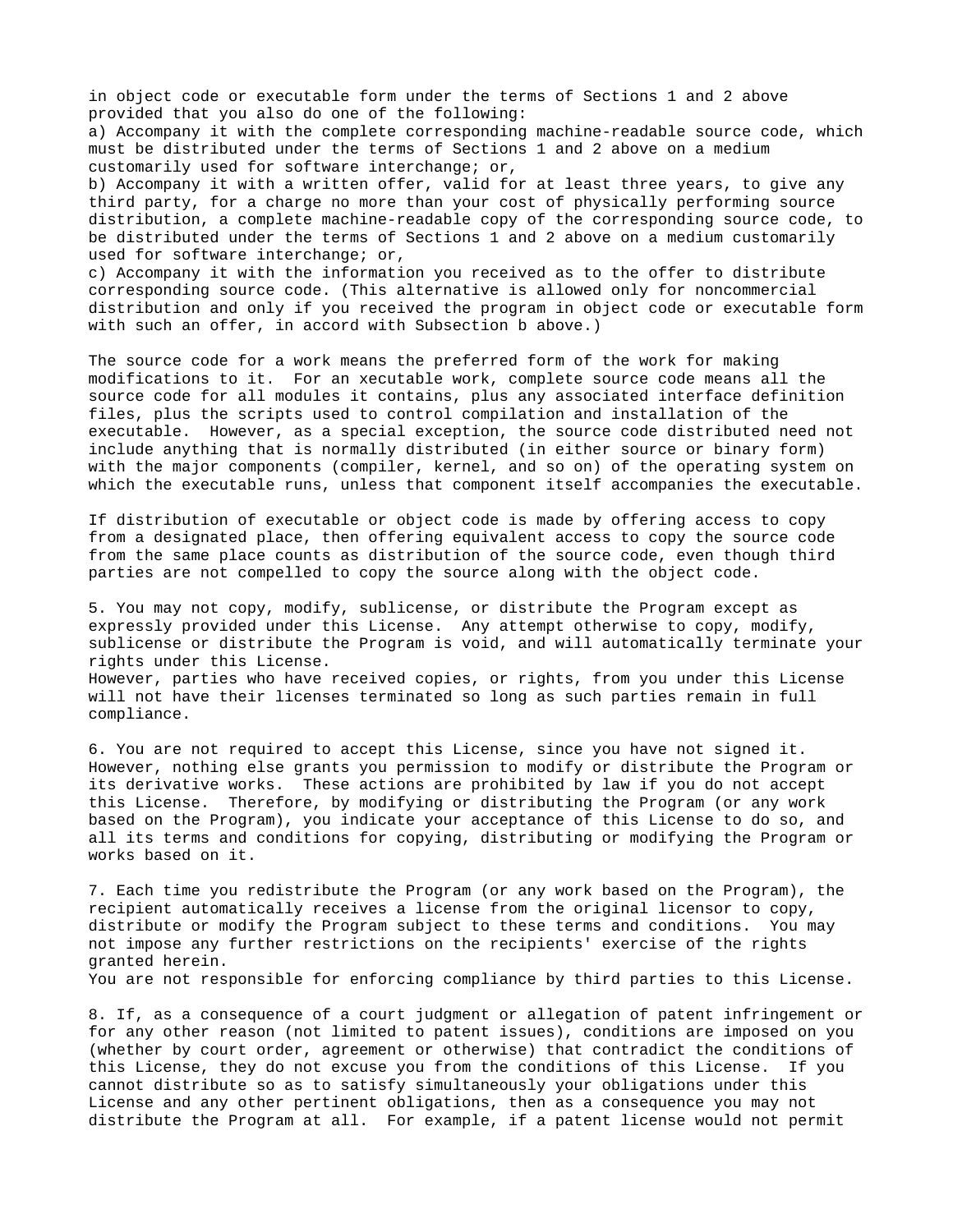in object code or executable form under the terms of Sections 1 and 2 above provided that you also do one of the following: a) Accompany it with the complete corresponding machine-readable source code, which must be distributed under the terms of Sections 1 and 2 above on a medium customarily used for software interchange; or, b) Accompany it with a written offer, valid for at least three years, to give any third party, for a charge no more than your cost of physically performing source distribution, a complete machine-readable copy of the corresponding source code, to be distributed under the terms of Sections 1 and 2 above on a medium customarily used for software interchange; or,

c) Accompany it with the information you received as to the offer to distribute corresponding source code. (This alternative is allowed only for noncommercial distribution and only if you received the program in object code or executable form with such an offer, in accord with Subsection b above.)

The source code for a work means the preferred form of the work for making modifications to it. For an xecutable work, complete source code means all the source code for all modules it contains, plus any associated interface definition files, plus the scripts used to control compilation and installation of the executable. However, as a special exception, the source code distributed need not include anything that is normally distributed (in either source or binary form) with the major components (compiler, kernel, and so on) of the operating system on which the executable runs, unless that component itself accompanies the executable.

If distribution of executable or object code is made by offering access to copy from a designated place, then offering equivalent access to copy the source code from the same place counts as distribution of the source code, even though third parties are not compelled to copy the source along with the object code.

5. You may not copy, modify, sublicense, or distribute the Program except as expressly provided under this License. Any attempt otherwise to copy, modify, sublicense or distribute the Program is void, and will automatically terminate your rights under this License.

However, parties who have received copies, or rights, from you under this License will not have their licenses terminated so long as such parties remain in full compliance.

6. You are not required to accept this License, since you have not signed it. However, nothing else grants you permission to modify or distribute the Program or its derivative works. These actions are prohibited by law if you do not accept this License. Therefore, by modifying or distributing the Program (or any work based on the Program), you indicate your acceptance of this License to do so, and all its terms and conditions for copying, distributing or modifying the Program or works based on it.

7. Each time you redistribute the Program (or any work based on the Program), the recipient automatically receives a license from the original licensor to copy, distribute or modify the Program subject to these terms and conditions. You may not impose any further restrictions on the recipients' exercise of the rights granted herein.

You are not responsible for enforcing compliance by third parties to this License.

8. If, as a consequence of a court judgment or allegation of patent infringement or for any other reason (not limited to patent issues), conditions are imposed on you (whether by court order, agreement or otherwise) that contradict the conditions of this License, they do not excuse you from the conditions of this License. If you cannot distribute so as to satisfy simultaneously your obligations under this License and any other pertinent obligations, then as a consequence you may not distribute the Program at all. For example, if a patent license would not permit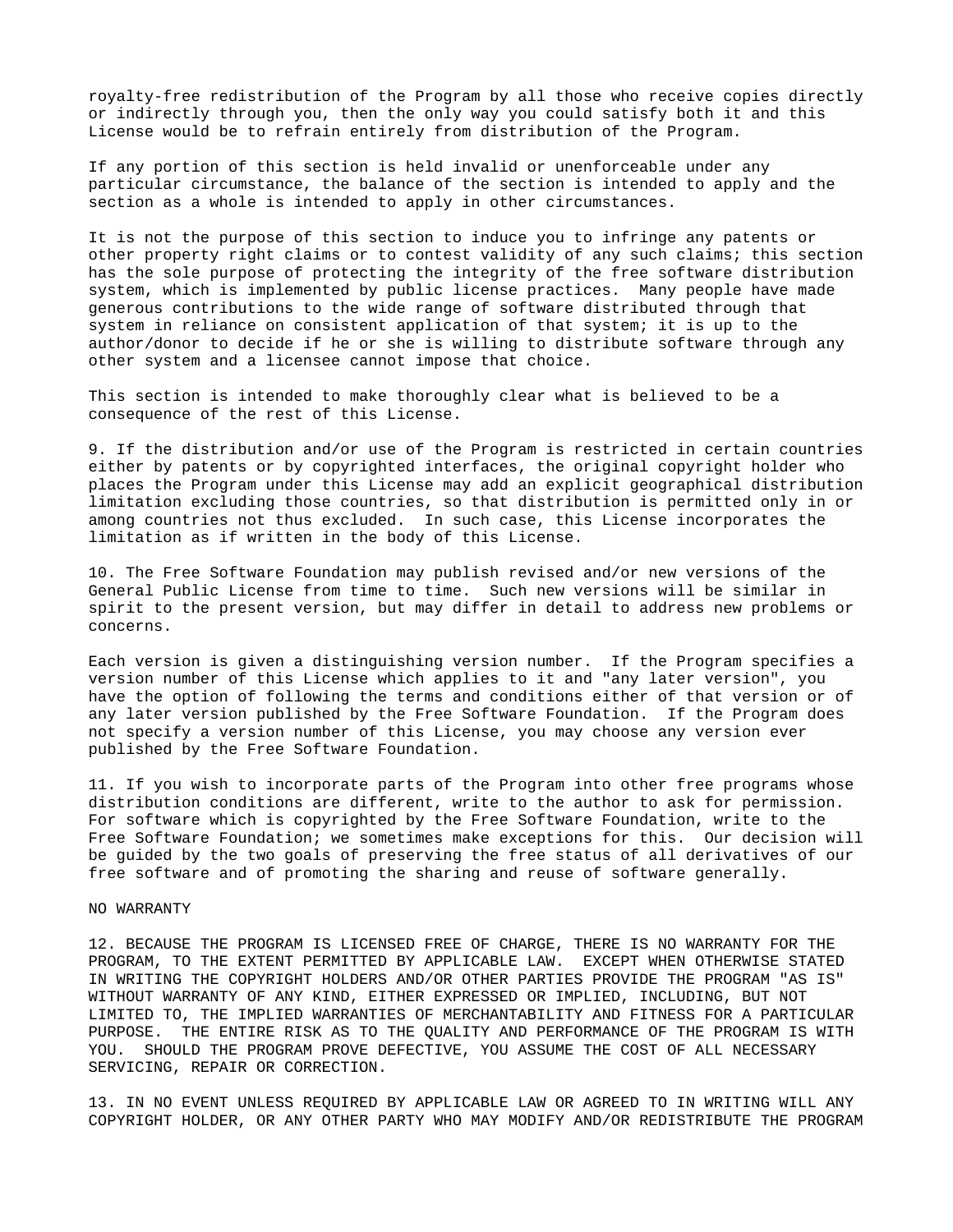royalty-free redistribution of the Program by all those who receive copies directly or indirectly through you, then the only way you could satisfy both it and this License would be to refrain entirely from distribution of the Program.

If any portion of this section is held invalid or unenforceable under any particular circumstance, the balance of the section is intended to apply and the section as a whole is intended to apply in other circumstances.

It is not the purpose of this section to induce you to infringe any patents or other property right claims or to contest validity of any such claims; this section has the sole purpose of protecting the integrity of the free software distribution system, which is implemented by public license practices. Many people have made generous contributions to the wide range of software distributed through that system in reliance on consistent application of that system; it is up to the author/donor to decide if he or she is willing to distribute software through any other system and a licensee cannot impose that choice.

This section is intended to make thoroughly clear what is believed to be a consequence of the rest of this License.

9. If the distribution and/or use of the Program is restricted in certain countries either by patents or by copyrighted interfaces, the original copyright holder who places the Program under this License may add an explicit geographical distribution limitation excluding those countries, so that distribution is permitted only in or among countries not thus excluded. In such case, this License incorporates the limitation as if written in the body of this License.

10. The Free Software Foundation may publish revised and/or new versions of the General Public License from time to time. Such new versions will be similar in spirit to the present version, but may differ in detail to address new problems or concerns.

Each version is given a distinguishing version number. If the Program specifies a version number of this License which applies to it and "any later version", you have the option of following the terms and conditions either of that version or of any later version published by the Free Software Foundation. If the Program does not specify a version number of this License, you may choose any version ever published by the Free Software Foundation.

11. If you wish to incorporate parts of the Program into other free programs whose distribution conditions are different, write to the author to ask for permission. For software which is copyrighted by the Free Software Foundation, write to the Free Software Foundation; we sometimes make exceptions for this. Our decision will be guided by the two goals of preserving the free status of all derivatives of our free software and of promoting the sharing and reuse of software generally.

## NO WARRANTY

12. BECAUSE THE PROGRAM IS LICENSED FREE OF CHARGE, THERE IS NO WARRANTY FOR THE PROGRAM, TO THE EXTENT PERMITTED BY APPLICABLE LAW. EXCEPT WHEN OTHERWISE STATED IN WRITING THE COPYRIGHT HOLDERS AND/OR OTHER PARTIES PROVIDE THE PROGRAM "AS IS" WITHOUT WARRANTY OF ANY KIND, EITHER EXPRESSED OR IMPLIED, INCLUDING, BUT NOT LIMITED TO, THE IMPLIED WARRANTIES OF MERCHANTABILITY AND FITNESS FOR A PARTICULAR PURPOSE. THE ENTIRE RISK AS TO THE QUALITY AND PERFORMANCE OF THE PROGRAM IS WITH YOU. SHOULD THE PROGRAM PROVE DEFECTIVE, YOU ASSUME THE COST OF ALL NECESSARY SERVICING, REPAIR OR CORRECTION.

13. IN NO EVENT UNLESS REQUIRED BY APPLICABLE LAW OR AGREED TO IN WRITING WILL ANY COPYRIGHT HOLDER, OR ANY OTHER PARTY WHO MAY MODIFY AND/OR REDISTRIBUTE THE PROGRAM